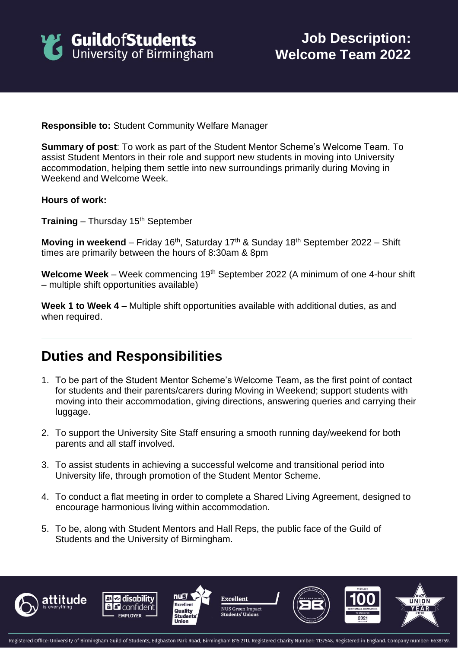

**Responsible to:** Student Community Welfare Manager

**Summary of post**: To work as part of the Student Mentor Scheme's Welcome Team. To assist Student Mentors in their role and support new students in moving into University accommodation, helping them settle into new surroundings primarily during Moving in Weekend and Welcome Week.

**Hours of work:**

**Training** – Thursday 15th September

**Moving in weekend** – Friday 16<sup>th</sup>, Saturday 17<sup>th</sup> & Sunday 18<sup>th</sup> September 2022 – Shift times are primarily between the hours of 8:30am & 8pm

Welcome Week – Week commencing 19<sup>th</sup> September 2022 (A minimum of one 4-hour shift – multiple shift opportunities available)

**Week 1 to Week 4** – Multiple shift opportunities available with additional duties, as and when required.

## **Duties and Responsibilities**

- 1. To be part of the Student Mentor Scheme's Welcome Team, as the first point of contact for students and their parents/carers during Moving in Weekend; support students with moving into their accommodation, giving directions, answering queries and carrying their luggage.
- 2. To support the University Site Staff ensuring a smooth running day/weekend for both parents and all staff involved.
- 3. To assist students in achieving a successful welcome and transitional period into University life, through promotion of the Student Mentor Scheme.
- 4. To conduct a flat meeting in order to complete a Shared Living Agreement, designed to encourage harmonious living within accommodation.
- 5. To be, along with Student Mentors and Hall Reps, the public face of the Guild of Students and the University of Birmingham.









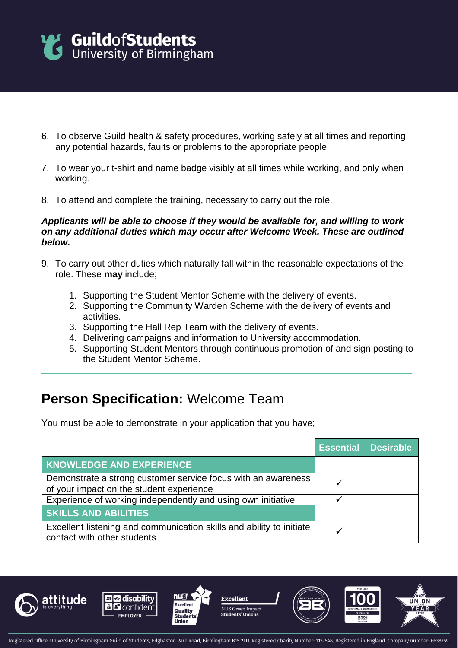

- 6. To observe Guild health & safety procedures, working safely at all times and reporting any potential hazards, faults or problems to the appropriate people.
- 7. To wear your t-shirt and name badge visibly at all times while working, and only when working.
- 8. To attend and complete the training, necessary to carry out the role.

## *Applicants will be able to choose if they would be available for, and willing to work on any additional duties which may occur after Welcome Week. These are outlined below.*

- 9. To carry out other duties which naturally fall within the reasonable expectations of the role. These **may** include;
	- 1. Supporting the Student Mentor Scheme with the delivery of events.
	- 2. Supporting the Community Warden Scheme with the delivery of events and activities.
	- 3. Supporting the Hall Rep Team with the delivery of events.
	- 4. Delivering campaigns and information to University accommodation.
	- 5. Supporting Student Mentors through continuous promotion of and sign posting to the Student Mentor Scheme.

## **Person Specification:** Welcome Team

You must be able to demonstrate in your application that you have;

|                                                                                                           | <b>Essential Desirable</b> |
|-----------------------------------------------------------------------------------------------------------|----------------------------|
| <b>KNOWLEDGE AND EXPERIENCE</b>                                                                           |                            |
| Demonstrate a strong customer service focus with an awareness<br>of your impact on the student experience |                            |
| Experience of working independently and using own initiative                                              |                            |
| <b>SKILLS AND ABILITIES</b>                                                                               |                            |
| Excellent listening and communication skills and ability to initiate<br>contact with other students       |                            |







**Excellent** NUS Green Impac **Students' Unions**